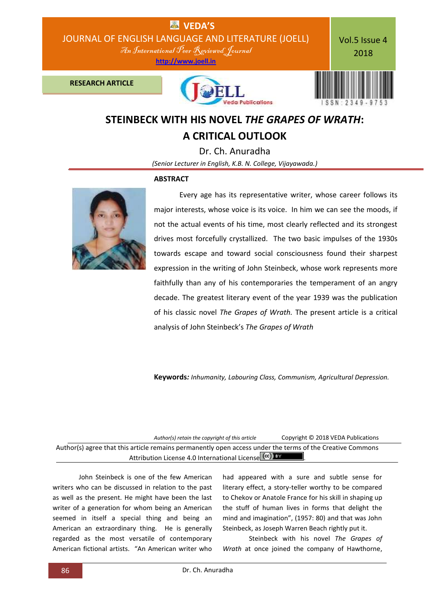

## **STEINBECK WITH HIS NOVEL** *THE GRAPES OF WRATH***: A CRITICAL OUTLOOK**

Dr. Ch. Anuradha *(Senior Lecturer in English, K.B. N. College, Vijayawada.)*

## **ABSTRACT**



 Every age has its representative writer, whose career follows its major interests, whose voice is its voice. In him we can see the moods, if not the actual events of his time, most clearly reflected and its strongest drives most forcefully crystallized. The two basic impulses of the 1930s towards escape and toward social consciousness found their sharpest expression in the writing of John Steinbeck, whose work represents more faithfully than any of his contemporaries the temperament of an angry decade. The greatest literary event of the year 1939 was the publication of his classic novel *The Grapes of Wrath.* The present article is a critical analysis of John Steinbeck's *The Grapes of Wrath*

**Keywords***: Inhumanity, Labouring Class, Communism, Agricultural Depression.*

| Author(s) retain the copyright of this article                                                            | Copyright © 2018 VEDA Publications |
|-----------------------------------------------------------------------------------------------------------|------------------------------------|
| Author(s) agree that this article remains permanently open access under the terms of the Creative Commons |                                    |
| Attribution License 4.0 International License (cc) BY                                                     |                                    |

John Steinbeck is one of the few American writers who can be discussed in relation to the past as well as the present. He might have been the last writer of a generation for whom being an American seemed in itself a special thing and being an American an extraordinary thing. He is generally regarded as the most versatile of contemporary American fictional artists. "An American writer who

had appeared with a sure and subtle sense for literary effect, a story-teller worthy to be compared to Chekov or Anatole France for his skill in shaping up the stuff of human lives in forms that delight the mind and imagination", (1957: 80) and that was John Steinbeck, as Joseph Warren Beach rightly put it.

Steinbeck with his novel *The Grapes of Wrath* at once joined the company of Hawthorne,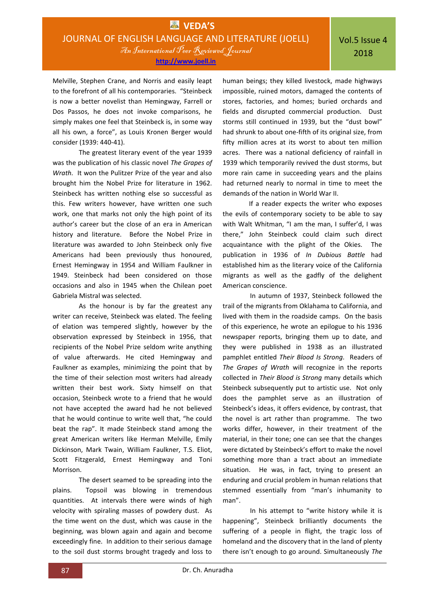**[http://www.joell.in](http://www.joell.in/)**

Melville, Stephen Crane, and Norris and easily leapt to the forefront of all his contemporaries. "Steinbeck is now a better novelist than Hemingway, Farrell or Dos Passos, he does not invoke comparisons, he simply makes one feel that Steinbeck is, in some way all his own, a force", as Louis Kronen Berger would consider (1939: 440-41).

The greatest literary event of the year 1939 was the publication of his classic novel *The Grapes of Wrath.* It won the Pulitzer Prize of the year and also brought him the Nobel Prize for literature in 1962. Steinbeck has written nothing else so successful as this. Few writers however, have written one such work, one that marks not only the high point of its author's career but the close of an era in American history and literature. Before the Nobel Prize in literature was awarded to John Steinbeck only five Americans had been previously thus honoured, Ernest Hemingway in 1954 and William Faulkner in 1949. Steinbeck had been considered on those occasions and also in 1945 when the Chilean poet Gabriela Mistral was selected.

As the honour is by far the greatest any writer can receive, Steinbeck was elated. The feeling of elation was tempered slightly, however by the observation expressed by Steinbeck in 1956, that recipients of the Nobel Prize seldom write anything of value afterwards. He cited Hemingway and Faulkner as examples, minimizing the point that by the time of their selection most writers had already written their best work. Sixty himself on that occasion, Steinbeck wrote to a friend that he would not have accepted the award had he not believed that he would continue to write well that, "he could beat the rap". It made Steinbeck stand among the great American writers like Herman Melville, Emily Dickinson, Mark Twain, William Faulkner, T.S. Eliot, Scott Fitzgerald, Ernest Hemingway and Toni Morrison.

The desert seamed to be spreading into the plains. Topsoil was blowing in tremendous quantities. At intervals there were winds of high velocity with spiraling masses of powdery dust. As the time went on the dust, which was cause in the beginning, was blown again and again and become exceedingly fine. In addition to their serious damage to the soil dust storms brought tragedy and loss to

human beings; they killed livestock, made highways impossible, ruined motors, damaged the contents of stores, factories, and homes; buried orchards and fields and disrupted commercial production. Dust storms still continued in 1939, but the "dust bowl" had shrunk to about one-fifth of its original size, from fifty million acres at its worst to about ten million acres. There was a national deficiency of rainfall in 1939 which temporarily revived the dust storms, but more rain came in succeeding years and the plains had returned nearly to normal in time to meet the demands of the nation in World War II.

If a reader expects the writer who exposes the evils of contemporary society to be able to say with Walt Whitman, "I am the man, I suffer'd, I was there," John Steinbeck could claim such direct acquaintance with the plight of the Okies. The publication in 1936 of *In Dubious Battle* had established him as the literary voice of the California migrants as well as the gadfly of the delighent American conscience.

In autumn of 1937, Steinbeck followed the trail of the migrants from Oklahama to California, and lived with them in the roadside camps. On the basis of this experience, he wrote an epilogue to his 1936 newspaper reports, bringing them up to date, and they were published in 1938 as an illustrated pamphlet entitled *Their Blood Is Strong.* Readers of *The Grapes of Wrath* will recognize in the reports collected in *Their Blood is Strong* many details which Steinbeck subsequently put to artistic use. Not only does the pamphlet serve as an illustration of Steinbeck's ideas, it offers evidence, by contrast, that the novel is art rather than programme. The two works differ, however, in their treatment of the material, in their tone; one can see that the changes were dictated by Steinbeck's effort to make the novel something more than a tract about an immediate situation. He was, in fact, trying to present an enduring and crucial problem in human relations that stemmed essentially from "man's inhumanity to man".

In his attempt to "write history while it is happening", Steinbeck brilliantly documents the suffering of a people in flight, the tragic loss of homeland and the discovery that in the land of plenty there isn't enough to go around. Simultaneously *The*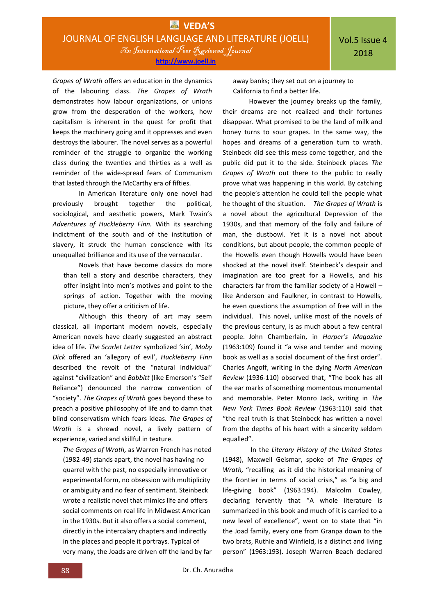Vol.5 Issue 4 2018

**[http://www.joell.in](http://www.joell.in/)**

*Grapes of Wrath* offers an education in the dynamics of the labouring class. *The Grapes of Wrath* demonstrates how labour organizations, or unions grow from the desperation of the workers, how capitalism is inherent in the quest for profit that keeps the machinery going and it oppresses and even destroys the labourer. The novel serves as a powerful reminder of the struggle to organize the working class during the twenties and thirties as a well as reminder of the wide-spread fears of Communism that lasted through the McCarthy era of fifties.

In American literature only one novel had previously brought together the political, sociological, and aesthetic powers, Mark Twain's *Adventures of Huckleberry Finn.* With its searching indictment of the south and of the institution of slavery, it struck the human conscience with its unequalled brilliance and its use of the vernacular.

Novels that have become classics do more than tell a story and describe characters, they offer insight into men's motives and point to the springs of action. Together with the moving picture, they offer a criticism of life.

Although this theory of art may seem classical, all important modern novels, especially American novels have clearly suggested an abstract idea of life. *The Scarlet Letter* symbolized 'sin', *Moby Dick* offered an 'allegory of evil', *Huckleberry Finn* described the revolt of the "natural individual" against "civilization" and *Babbitt* (like Emerson's "Self Reliance") denounced the narrow convention of "society". *The Grapes of Wrath* goes beyond these to preach a positive philosophy of life and to damn that blind conservatism which fears ideas. *The Grapes of Wrath* is a shrewd novel, a lively pattern of experience, varied and skillful in texture.

*The Grapes of Wrath,* as Warren French has noted (1982-49) stands apart, the novel has having no quarrel with the past, no especially innovative or experimental form, no obsession with multiplicity or ambiguity and no fear of sentiment. Steinbeck wrote a realistic novel that mimics life and offers social comments on real life in Midwest American in the 1930s. But it also offers a social comment, directly in the intercalary chapters and indirectly in the places and people it portrays. Typical of very many, the Joads are driven off the land by far away banks; they set out on a journey to California to find a better life.

However the journey breaks up the family, their dreams are not realized and their fortunes disappear. What promised to be the land of milk and honey turns to sour grapes. In the same way, the hopes and dreams of a generation turn to wrath. Steinbeck did see this mess come together, and the public did put it to the side. Steinbeck places *The Grapes of Wrath* out there to the public to really prove what was happening in this world. By catching the people's attention he could tell the people what he thought of the situation. *The Grapes of Wrath* is a novel about the agricultural Depression of the 1930s, and that memory of the folly and failure of man, the dustbowl. Yet it is a novel not about conditions, but about people, the common people of the Howells even though Howells would have been shocked at the novel itself. Steinbeck's despair and imagination are too great for a Howells, and his characters far from the familiar society of a Howell – like Anderson and Faulkner, in contrast to Howells, he even questions the assumption of free will in the individual. This novel, unlike most of the novels of the previous century, is as much about a few central people. John Chamberlain, in *Harper's Magazine* (1963:109) found it "a wise and tender and moving book as well as a social document of the first order". Charles Angoff, writing in the dying *North American Review* (1936-110) observed that, "The book has all the ear marks of something momentous monumental and memorable. Peter Monro Jack, writing in *The New York Times Book Review* (1963:110) said that "the real truth is that Steinbeck has written a novel from the depths of his heart with a sincerity seldom equalled".

In the *Literary History of the United States* (1948), Maxwell Geismar, spoke of *The Grapes of Wrath,* "recalling as it did the historical meaning of the frontier in terms of social crisis," as "a big and life-giving book" (1963:194). Malcolm Cowley, declaring fervently that "A whole literature is summarized in this book and much of it is carried to a new level of excellence", went on to state that "in the Joad family, every one from Granpa down to the two brats, Ruthie and Winfield, is a distinct and living person" (1963:193). Joseph Warren Beach declared